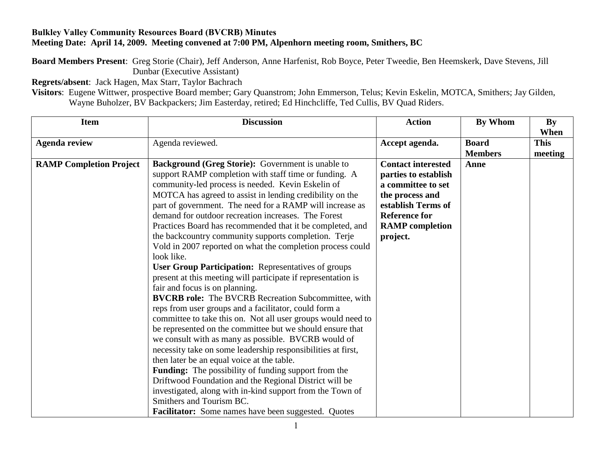## **Bulkley Valley Community Resources Board (BVCRB) Minutes Meeting Date: April 14, 2009. Meeting convened at 7:00 PM, Alpenhorn meeting room, Smithers, BC**

**Board Members Present**: Greg Storie (Chair), Jeff Anderson, Anne Harfenist, Rob Boyce, Peter Tweedie, Ben Heemskerk, Dave Stevens, Jill Dunbar (Executive Assistant)

**Regrets/absent**: Jack Hagen, Max Starr, Taylor Bachrach

**Visitors**: Eugene Wittwer, prospective Board member; Gary Quanstrom; John Emmerson, Telus; Kevin Eskelin, MOTCA, Smithers; Jay Gilden, Wayne Buholzer, BV Backpackers; Jim Easterday, retired; Ed Hinchcliffe, Ted Cullis, BV Quad Riders.

| <b>Item</b>                    | <b>Discussion</b>                                                                                                                                                                                                                                                                                                                                                                                                                                                                                                                                                                                                                                                                                                       | <b>Action</b>                                                                                                                                                                  | By Whom        | By<br>When  |
|--------------------------------|-------------------------------------------------------------------------------------------------------------------------------------------------------------------------------------------------------------------------------------------------------------------------------------------------------------------------------------------------------------------------------------------------------------------------------------------------------------------------------------------------------------------------------------------------------------------------------------------------------------------------------------------------------------------------------------------------------------------------|--------------------------------------------------------------------------------------------------------------------------------------------------------------------------------|----------------|-------------|
| <b>Agenda review</b>           | Agenda reviewed.                                                                                                                                                                                                                                                                                                                                                                                                                                                                                                                                                                                                                                                                                                        | Accept agenda.                                                                                                                                                                 | <b>Board</b>   | <b>This</b> |
|                                |                                                                                                                                                                                                                                                                                                                                                                                                                                                                                                                                                                                                                                                                                                                         |                                                                                                                                                                                | <b>Members</b> | meeting     |
| <b>RAMP Completion Project</b> | <b>Background (Greg Storie):</b> Government is unable to<br>support RAMP completion with staff time or funding. A<br>community-led process is needed. Kevin Eskelin of<br>MOTCA has agreed to assist in lending credibility on the<br>part of government. The need for a RAMP will increase as<br>demand for outdoor recreation increases. The Forest<br>Practices Board has recommended that it be completed, and<br>the backcountry community supports completion. Terje<br>Vold in 2007 reported on what the completion process could<br>look like.<br><b>User Group Participation:</b> Representatives of groups<br>present at this meeting will participate if representation is<br>fair and focus is on planning. | <b>Contact interested</b><br>parties to establish<br>a committee to set<br>the process and<br>establish Terms of<br><b>Reference for</b><br><b>RAMP</b> completion<br>project. | Anne           |             |
|                                | <b>BVCRB role:</b> The BVCRB Recreation Subcommittee, with<br>reps from user groups and a facilitator, could form a<br>committee to take this on. Not all user groups would need to<br>be represented on the committee but we should ensure that<br>we consult with as many as possible. BVCRB would of<br>necessity take on some leadership responsibilities at first,<br>then later be an equal voice at the table.<br><b>Funding:</b> The possibility of funding support from the<br>Driftwood Foundation and the Regional District will be<br>investigated, along with in-kind support from the Town of<br>Smithers and Tourism BC.<br>Facilitator: Some names have been suggested. Quotes                          |                                                                                                                                                                                |                |             |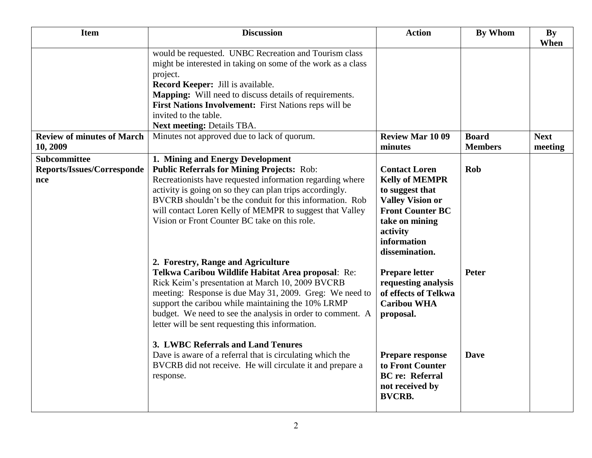| <b>Item</b>                                                     | <b>Discussion</b>                                                                                                                                                                                                                                                                                                                                                                                                             | <b>Action</b>                                                                                                                                                                         | <b>By Whom</b>                 | <b>By</b><br>When      |
|-----------------------------------------------------------------|-------------------------------------------------------------------------------------------------------------------------------------------------------------------------------------------------------------------------------------------------------------------------------------------------------------------------------------------------------------------------------------------------------------------------------|---------------------------------------------------------------------------------------------------------------------------------------------------------------------------------------|--------------------------------|------------------------|
|                                                                 | would be requested. UNBC Recreation and Tourism class<br>might be interested in taking on some of the work as a class<br>project.<br>Record Keeper: Jill is available.<br><b>Mapping:</b> Will need to discuss details of requirements.<br>First Nations Involvement: First Nations reps will be<br>invited to the table.<br>Next meeting: Details TBA.                                                                       |                                                                                                                                                                                       |                                |                        |
| <b>Review of minutes of March</b><br>10, 2009                   | Minutes not approved due to lack of quorum.                                                                                                                                                                                                                                                                                                                                                                                   | <b>Review Mar 1009</b><br>minutes                                                                                                                                                     | <b>Board</b><br><b>Members</b> | <b>Next</b><br>meeting |
| <b>Subcommittee</b><br><b>Reports/Issues/Corresponde</b><br>nce | 1. Mining and Energy Development<br><b>Public Referrals for Mining Projects: Rob:</b><br>Recreationists have requested information regarding where<br>activity is going on so they can plan trips accordingly.<br>BVCRB shouldn't be the conduit for this information. Rob<br>will contact Loren Kelly of MEMPR to suggest that Valley<br>Vision or Front Counter BC take on this role.<br>2. Forestry, Range and Agriculture | <b>Contact Loren</b><br><b>Kelly of MEMPR</b><br>to suggest that<br><b>Valley Vision or</b><br><b>Front Counter BC</b><br>take on mining<br>activity<br>information<br>dissemination. | Rob                            |                        |
|                                                                 | Telkwa Caribou Wildlife Habitat Area proposal: Re:<br>Rick Keim's presentation at March 10, 2009 BVCRB<br>meeting: Response is due May 31, 2009. Greg: We need to<br>support the caribou while maintaining the 10% LRMP<br>budget. We need to see the analysis in order to comment. A<br>letter will be sent requesting this information.                                                                                     | <b>Prepare letter</b><br>requesting analysis<br>of effects of Telkwa<br><b>Caribou WHA</b><br>proposal.                                                                               | <b>Peter</b>                   |                        |
|                                                                 | 3. LWBC Referrals and Land Tenures<br>Dave is aware of a referral that is circulating which the<br>BVCRB did not receive. He will circulate it and prepare a<br>response.                                                                                                                                                                                                                                                     | Prepare response<br>to Front Counter<br><b>BC</b> re: Referral<br>not received by<br><b>BVCRB.</b>                                                                                    | <b>Dave</b>                    |                        |